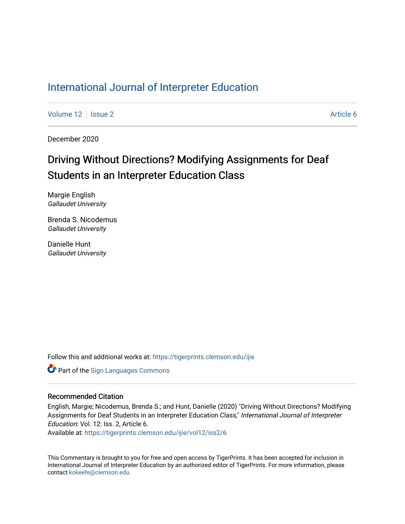# [International Journal of Interpreter Education](https://tigerprints.clemson.edu/ijie)

[Volume 12](https://tigerprints.clemson.edu/ijie/vol12) | [Issue 2](https://tigerprints.clemson.edu/ijie/vol12/iss2) Article 6

December 2020

# Driving Without Directions? Modifying Assignments for Deaf Students in an Interpreter Education Class

Margie English Gallaudet University

Brenda S. Nicodemus Gallaudet University

Danielle Hunt Gallaudet University

Follow this and additional works at: [https://tigerprints.clemson.edu/ijie](https://tigerprints.clemson.edu/ijie?utm_source=tigerprints.clemson.edu%2Fijie%2Fvol12%2Fiss2%2F6&utm_medium=PDF&utm_campaign=PDFCoverPages) 

Part of the [Sign Languages Commons](https://network.bepress.com/hgg/discipline/1397?utm_source=tigerprints.clemson.edu%2Fijie%2Fvol12%2Fiss2%2F6&utm_medium=PDF&utm_campaign=PDFCoverPages) 

### Recommended Citation

English, Margie; Nicodemus, Brenda S.; and Hunt, Danielle (2020) "Driving Without Directions? Modifying Assignments for Deaf Students in an Interpreter Education Class," International Journal of Interpreter Education: Vol. 12: Iss. 2, Article 6.

Available at: [https://tigerprints.clemson.edu/ijie/vol12/iss2/6](https://tigerprints.clemson.edu/ijie/vol12/iss2/6?utm_source=tigerprints.clemson.edu%2Fijie%2Fvol12%2Fiss2%2F6&utm_medium=PDF&utm_campaign=PDFCoverPages) 

This Commentary is brought to you for free and open access by TigerPrints. It has been accepted for inclusion in International Journal of Interpreter Education by an authorized editor of TigerPrints. For more information, please contact [kokeefe@clemson.edu.](mailto:kokeefe@clemson.edu)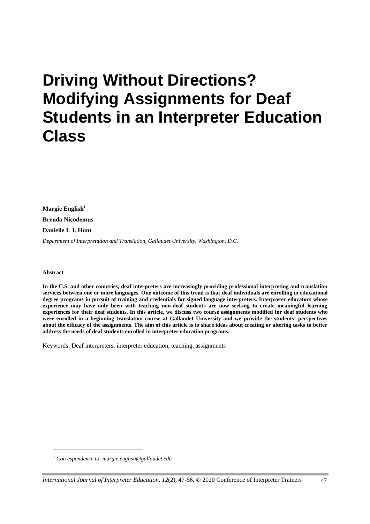# **Driving Without Directions? Modifying Assignments for Deaf Students in an Interpreter Education Class**

**Margie English<sup>1</sup> Brenda Nicodemus Danielle I. J. Hunt**

*Department of Interpretation and Translation, Gallaudet University, Washington, D.C.*

#### **Abstract**

**In the U.S. and other countries, deaf interpreters are increasingly providing professional interpreting and translation services between one or more languages. One outcome of this trend is that deaf individuals are enrolling in educational degree programs in pursuit of training and credentials for signed language interpreters. Interpreter educators whose experience may have only been with teaching non-deaf students are now seeking to create meaningful learning experiences for their deaf students. In this article, we discuss two course assignments modified for deaf students who were enrolled in a beginning translation course at Gallaudet University and we provide the students' perspectives about the efficacy of the assignments. The aim of this article is to share ideas about creating or altering tasks to better address the needs of deaf students enrolled in interpreter education programs.**

Keywords: Deaf interpreters, interpreter education, teaching, assignments

<sup>1</sup> *Correspondence to[: margie.english@gallaudet.edu](mailto:margie.english@gallaudet.edu)*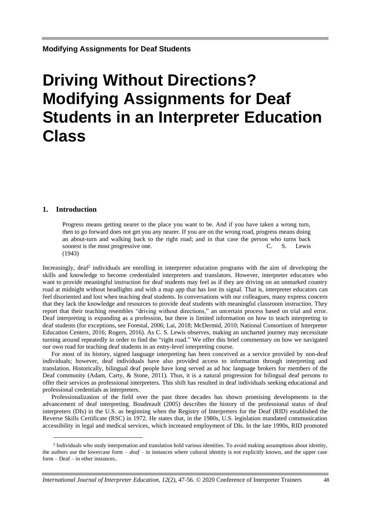# **Driving Without Directions? Modifying Assignments for Deaf Students in an Interpreter Education Class**

#### **1. Introduction**

Progress means getting nearer to the place you want to be. And if you have taken a wrong turn, then to go forward does not get you any nearer. If you are on the wrong road, progress means doing an about-turn and walking back to the right road; and in that case the person who turns back soonest is the most progressive one. C. S. Lewis (1943)

Increasingly, deaf<sup>2</sup> individuals are enrolling in interpreter education programs with the aim of developing the skills and knowledge to become credentialed interpreters and translators. However, interpreter educators who want to provide meaningful instruction for deaf students may feel as if they are driving on an unmarked country road at midnight without headlights and with a map app that has lost its signal. That is, interpreter educators can feel disoriented and lost when teaching deaf students. In conversations with our colleagues, many express concern that they lack the knowledge and resources to provide deaf students with meaningful classroom instruction. They report that their teaching resembles "driving without directions," an uncertain process based on trial and error. Deaf interpreting is expanding as a profession, but there is limited information on how to teach interpreting to deaf students (for exceptions, see Forestal, 2006; Lai, 2018; McDermid, 2010; National Consortium of Interpreter Education Centers, 2016; Rogers, 2016). As C. S. Lewis observes, making an uncharted journey may necessitate turning around repeatedly in order to find the "right road." We offer this brief commentary on how we navigated our own road for teaching deaf students in an entry-level interpreting course.

For most of its history, signed language interpreting has been conceived as a service provided by non-deaf individuals; however, deaf individuals have also provided access to information through interpreting and translation. Historically, bilingual deaf people have long served as ad hoc language brokers for members of the Deaf community (Adam, Carty, & Stone, 2011). Thus, it is a natural progression for bilingual deaf persons to offer their services as professional interpreters. This shift has resulted in deaf individuals seeking educational and professional credentials as interpreters.

Professionalization of the field over the past three decades has shown promising developments in the advancement of deaf interpreting. Boudreault (2005) describes the history of the professional status of deaf interpreters (DIs) in the U.S. as beginning when the Registry of Interpreters for the Deaf (RID) established the Reverse Skills Certificate (RSC) in 1972. He states that, in the 1980s, U.S. legislation mandated communication accessibility in legal and medical services, which increased employment of DIs. In the late 1990s, RID promoted

<sup>&</sup>lt;sup>2</sup> Individuals who study interpretation and translation hold various identities. To avoid making assumptions about identity, the authors use the lowercase form – *deaf* – in instances where cultural identity is not explicitly known, and the upper case form – Deaf – in other instances..

*International Journal of Interpreter Education, 12*(2), 47-56. © 2020 Conference of Interpreter Trainers 48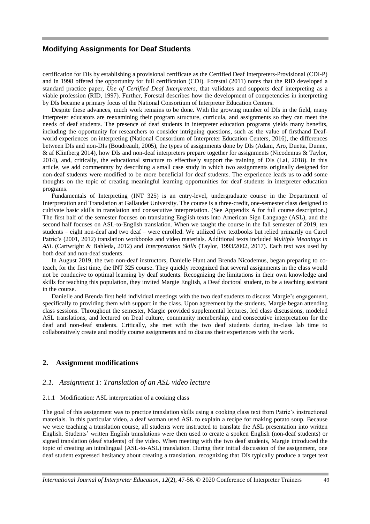certification for DIs by establishing a provisional certificate as the Certified Deaf Interpreters-Provisional (CDI-P) and in 1998 offered the opportunity for full certification (CDI). Forestal (2011) notes that the RID developed a standard practice paper, *Use of Certified Deaf Interpreters,* that validates and supports deaf interpreting as a viable profession (RID, 1997). Further, Forestal describes how the development of competencies in interpreting by DIs became a primary focus of the National Consortium of Interpreter Education Centers.

Despite these advances, much work remains to be done. With the growing number of DIs in the field, many interpreter educators are reexamining their program structure, curricula, and assignments so they can meet the needs of deaf students. The presence of deaf students in interpreter education programs yields many benefits, including the opportunity for researchers to consider intriguing questions, such as the value of firsthand Deafworld experiences on interpreting (National Consortium of Interpreter Education Centers, 2016), the differences between DIs and non-DIs (Boudreault, 2005), the types of assignments done by DIs (Adam, Aro, Duetta, Dunne, & af Klintberg 2014), how DIs and non-deaf interpreters prepare together for assignments (Nicodemus & Taylor, 2014), and, critically, the educational structure to effectively support the training of DIs (Lai, 2018). In this article, we add commentary by describing a small case study in which two assignments originally designed for non-deaf students were modified to be more beneficial for deaf students. The experience leads us to add some thoughts on the topic of creating meaningful learning opportunities for deaf students in interpreter education programs.

Fundamentals of Interpreting (INT 325) is an entry-level, undergraduate course in the Department of Interpretation and Translation at Gallaudet University. The course is a three-credit, one-semester class designed to cultivate basic skills in translation and consecutive interpretation. (See Appendix A for full course description.) The first half of the semester focuses on translating English texts into American Sign Language (ASL), and the second half focuses on ASL-to-English translation. When we taught the course in the fall semester of 2019, ten students – eight non-deaf and two deaf – were enrolled. We utilized five textbooks but relied primarily on Carol Patrie's (2001, 2012) translation workbooks and video materials. Additional texts included *Multiple Meanings in ASL* (Cartwright & Bahleda, 2012) and *Interpretation Skills* (Taylor, 1993/2002, 2017). Each text was used by both deaf and non-deaf students.

In August 2019, the two non-deaf instructors, Danielle Hunt and Brenda Nicodemus, began preparing to coteach, for the first time, the INT 325 course. They quickly recognized that several assignments in the class would not be conducive to optimal learning by deaf students. Recognizing the limitations in their own knowledge and skills for teaching this population, they invited Margie English, a Deaf doctoral student, to be a teaching assistant in the course.

Danielle and Brenda first held individual meetings with the two deaf students to discuss Margie's engagement, specifically to providing them with support in the class. Upon agreement by the students, Margie began attending class sessions. Throughout the semester, Margie provided supplemental lectures, led class discussions, modeled ASL translations, and lectured on Deaf culture, community membership, and consecutive interpretation for the deaf and non-deaf students. Critically, she met with the two deaf students during in-class lab time to collaboratively create and modify course assignments and to discuss their experiences with the work.

#### **2. Assignment modifications**

#### *2.1. Assignment 1: Translation of an ASL video lecture*

#### 2.1.1 Modification: ASL interpretation of a cooking class

The goal of this assignment was to practice translation skills using a cooking class text from Patrie's instructional materials. In this particular video, a deaf woman used ASL to explain a recipe for making potato soup. Because we were teaching a translation course, all students were instructed to translate the ASL presentation into written English. Students' written English translations were then used to create a spoken English (non-deaf students) or signed translation (deaf students) of the video. When meeting with the two deaf students, Margie introduced the topic of creating an intralingual (ASL-to-ASL) translation. During their initial discussion of the assignment, one deaf student expressed hesitancy about creating a translation, recognizing that DIs typically produce a target text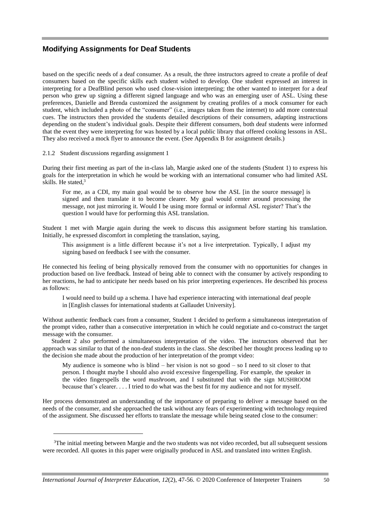based on the specific needs of a deaf consumer. As a result, the three instructors agreed to create a profile of deaf consumers based on the specific skills each student wished to develop. One student expressed an interest in interpreting for a DeafBlind person who used close-vision interpreting; the other wanted to interpret for a deaf person who grew up signing a different signed language and who was an emerging user of ASL. Using these preferences, Danielle and Brenda customized the assignment by creating profiles of a mock consumer for each student, which included a photo of the "consumer" (i.e., images taken from the internet) to add more contextual cues. The instructors then provided the students detailed descriptions of their consumers, adapting instructions depending on the student's individual goals. Despite their different consumers, both deaf students were informed that the event they were interpreting for was hosted by a local public library that offered cooking lessons in ASL. They also received a mock flyer to announce the event. (See Appendix B for assignment details.)

2.1.2 Student discussions regarding assignment 1

During their first meeting as part of the in-class lab, Margie asked one of the students (Student 1) to express his goals for the interpretation in which he would be working with an international consumer who had limited ASL skills. He stated, 3

For me, as a CDI, my main goal would be to observe how the ASL [in the source message] is signed and then translate it to become clearer. My goal would center around processing the message, not just mirroring it. Would I be using more formal or informal ASL register? That's the question I would have for performing this ASL translation.

Student 1 met with Margie again during the week to discuss this assignment before starting his translation. Initially, he expressed discomfort in completing the translation, saying,

This assignment is a little different because it's not a live interpretation. Typically, I adjust my signing based on feedback I see with the consumer.

He connected his feeling of being physically removed from the consumer with no opportunities for changes in production based on live feedback. Instead of being able to connect with the consumer by actively responding to her reactions, he had to anticipate her needs based on his prior interpreting experiences. He described his process as follows:

I would need to build up a schema. I have had experience interacting with international deaf people in [English classes for international students at Gallaudet University].

Without authentic feedback cues from a consumer, Student 1 decided to perform a simultaneous interpretation of the prompt video, rather than a consecutive interpretation in which he could negotiate and co-construct the target message with the consumer.

Student 2 also performed a simultaneous interpretation of the video. The instructors observed that her approach was similar to that of the non-deaf students in the class. She described her thought process leading up to the decision she made about the production of her interpretation of the prompt video:

My audience is someone who is blind – her vision is not so good – so I need to sit closer to that person. I thought maybe I should also avoid excessive fingerspelling. For example, the speaker in the video fingerspells the word *mushroom,* and I substituted that with the sign MUSHROOM because that's clearer. . . . I tried to do what was the best fit for my audience and not for myself.

Her process demonstrated an understanding of the importance of preparing to deliver a message based on the needs of the consumer, and she approached the task without any fears of experimenting with technology required of the assignment. She discussed her efforts to translate the message while being seated close to the consumer:

<sup>&</sup>lt;sup>3</sup>The initial meeting between Margie and the two students was not video recorded, but all subsequent sessions were recorded. All quotes in this paper were originally produced in ASL and translated into written English.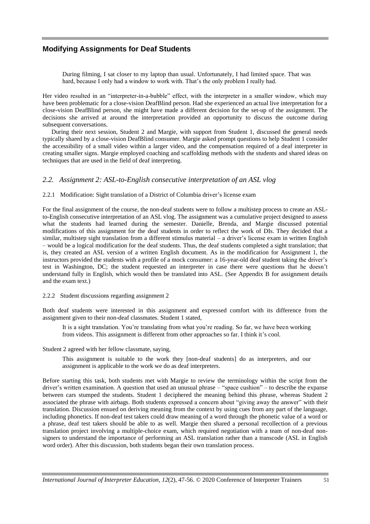During filming, I sat closer to my laptop than usual. Unfortunately, I had limited space. That was hard, because I only had a window to work with. That's the only problem I really had.

Her video resulted in an "interpreter-in-a-bubble" effect, with the interpreter in a smaller window, which may have been problematic for a close-vision DeafBlind person. Had she experienced an actual live interpretation for a close-vision DeafBlind person, she might have made a different decision for the set-up of the assignment. The decisions she arrived at around the interpretation provided an opportunity to discuss the outcome during subsequent conversations.

During their next session, Student 2 and Margie, with support from Student 1, discussed the general needs typically shared by a close-vision DeafBlind consumer. Margie asked prompt questions to help Student 1 consider the accessibility of a small video within a larger video, and the compensation required of a deaf interpreter in creating smaller signs. Margie employed coaching and scaffolding methods with the students and shared ideas on techniques that are used in the field of deaf interpreting.

#### *2.2. Assignment 2: ASL-to-English consecutive interpretation of an ASL vlog*

#### 2.2.1 Modification: Sight translation of a District of Columbia driver's license exam

For the final assignment of the course, the non-deaf students were to follow a multistep process to create an ASLto-English consecutive interpretation of an ASL vlog. The assignment was a cumulative project designed to assess what the students had learned during the semester. Danielle, Brenda, and Margie discussed potential modifications of this assignment for the deaf students in order to reflect the work of DIs. They decided that a similar, multistep sight translation from a different stimulus material – a driver's license exam in written English – would be a logical modification for the deaf students. Thus, the deaf students completed a sight translation; that is, they created an ASL version of a written English document. As in the modification for Assignment 1, the instructors provided the students with a profile of a mock consumer: a 16-year-old deaf student taking the driver's test in Washington, DC; the student requested an interpreter in case there were questions that he doesn't understand fully in English, which would then be translated into ASL. (See Appendix B for assignment details and the exam text.)

#### 2.2.2 Student discussions regarding assignment 2

Both deaf students were interested in this assignment and expressed comfort with its difference from the assignment given to their non-deaf classmates. Student 1 stated,

It is a sight translation. You're translating from what you're reading. So far, we have been working from videos. This assignment is different from other approaches so far. I think it's cool.

Student 2 agreed with her fellow classmate, saying,

This assignment is suitable to the work they [non-deaf students] do as interpreters, and our assignment is applicable to the work we do as deaf interpreters.

Before starting this task, both students met with Margie to review the terminology within the script from the driver's written examination. A question that used an unusual phrase – "space cushion" – to describe the expanse between cars stumped the students. Student 1 deciphered the meaning behind this phrase, whereas Student 2 associated the phrase with airbags. Both students expressed a concern about "giving away the answer" with their translation. Discussion ensued on deriving meaning from the context by using cues from any part of the language, including phonetics. If non-deaf test takers could draw meaning of a word through the phonetic value of a word or a phrase, deaf test takers should be able to as well. Margie then shared a personal recollection of a previous translation project involving a multiple-choice exam, which required negotiation with a team of non-deaf nonsigners to understand the importance of performing an ASL translation rather than a transcode (ASL in English word order). After this discussion, both students began their own translation process.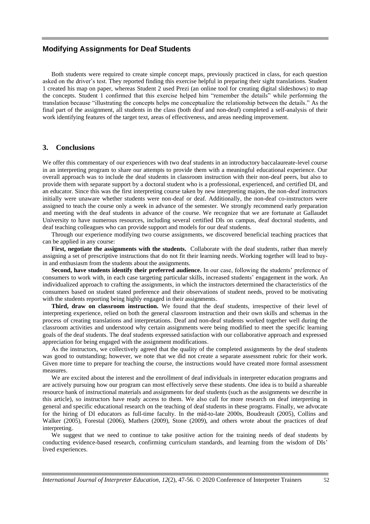Both students were required to create simple concept maps, previously practiced in class, for each question asked on the driver's test. They reported finding this exercise helpful in preparing their sight translations. Student 1 created his map on paper, whereas Student 2 used Prezi (an online tool for creating digital slideshows) to map the concepts. Student 1 confirmed that this exercise helped him "remember the details" while performing the translation because "illustrating the concepts helps me conceptualize the relationship between the details." As the final part of the assignment, all students in the class (both deaf and non-deaf) completed a self-analysis of their work identifying features of the target text, areas of effectiveness, and areas needing improvement.

#### **3. Conclusions**

We offer this commentary of our experiences with two deaf students in an introductory baccalaureate-level course in an interpreting program to share our attempts to provide them with a meaningful educational experience. Our overall approach was to include the deaf students in classroom instruction with their non-deaf peers, but also to provide them with separate support by a doctoral student who is a professional, experienced, and certified DI, and an educator. Since this was the first interpreting course taken by new interpreting majors, the non-deaf instructors initially were unaware whether students were non-deaf or deaf. Additionally, the non-deaf co-instructors were assigned to teach the course only a week in advance of the semester. We strongly recommend early preparation and meeting with the deaf students in advance of the course. We recognize that we are fortunate at Gallaudet University to have numerous resources, including several certified DIs on campus, deaf doctoral students, and deaf teaching colleagues who can provide support and models for our deaf students.

Through our experience modifying two course assignments, we discovered beneficial teaching practices that can be applied in any course:

**First, negotiate the assignments with the students.** Collaborate with the deaf students, rather than merely assigning a set of prescriptive instructions that do not fit their learning needs. Working together will lead to buyin and enthusiasm from the students about the assignments.

**Second, have students identify their preferred audience.** In our case, following the students' preference of consumers to work with, in each case targeting particular skills, increased students' engagement in the work. An individualized approach to crafting the assignments, in which the instructors determined the characteristics of the consumers based on student stated preference and their observations of student needs, proved to be motivating with the students reporting being highly engaged in their assignments.

**Third, draw on classroom instruction.** We found that the deaf students, irrespective of their level of interpreting experience, relied on both the general classroom instruction and their own skills and schemas in the process of creating translations and interpretations. Deaf and non-deaf students worked together well during the classroom activities and understood why certain assignments were being modified to meet the specific learning goals of the deaf students. The deaf students expressed satisfaction with our collaborative approach and expressed appreciation for being engaged with the assignment modifications.

As the instructors, we collectively agreed that the quality of the completed assignments by the deaf students was good to outstanding; however, we note that we did not create a separate assessment rubric for their work. Given more time to prepare for teaching the course, the instructions would have created more formal assessment measures.

We are excited about the interest and the enrollment of deaf individuals in interpreter education programs and are actively pursuing how our program can most effectively serve these students. One idea is to build a shareable resource bank of instructional materials and assignments for deaf students (such as the assignments we describe in this article), so instructors have ready access to them. We also call for more research on deaf interpreting in general and specific educational research on the teaching of deaf students in these programs. Finally, we advocate for the hiring of DI educators as full-time faculty. In the mid-to-late 2000s, Boudreault (2005), Collins and Walker (2005), Forestal (2006), Mathers (2009), Stone (2009), and others wrote about the practices of deaf interpreting.

We suggest that we need to continue to take positive action for the training needs of deaf students by conducting evidence-based research, confirming curriculum standards, and learning from the wisdom of DIs' lived experiences.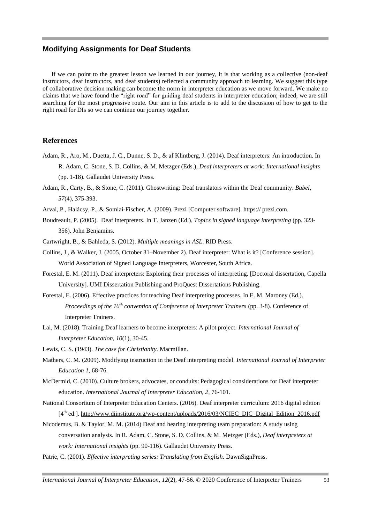If we can point to the greatest lesson we learned in our journey, it is that working as a collective (non-deaf instructors, deaf instructors, and deaf students) reflected a community approach to learning. We suggest this type of collaborative decision making can become the norm in interpreter education as we move forward. We make no claims that we have found the "right road" for guiding deaf students in interpreter education; indeed, we are still searching for the most progressive route. Our aim in this article is to add to the discussion of how to get to the right road for DIs so we can continue our journey together.

#### **References**

- Adam, R., Aro, M., Duetta, J. C., Dunne, S. D., & af Klintberg, J. (2014). Deaf interpreters: An introduction. In R. Adam, C. Stone, S. D. Collins, & M. Metzger (Eds.), *Deaf interpreters at work: International insights* (pp. 1-18). Gallaudet University Press.
- Adam, R., Carty, B., & Stone, C. (2011). Ghostwriting: Deaf translators within the Deaf community. *Babel, 57*(4), 375-393.
- Arvai, P., Halácsy, P., & Somlai-Fischer, A. (2009). Prezi [Computer software]. https:// prezi.com.
- Boudreault, P. (2005). Deaf interpreters. In T. Janzen (Ed.), *Topics in signed language interpreting* (pp. 323- 356). John Benjamins.
- Cartwright, B., & Bahleda, S. (2012). *Multiple meanings in ASL*. RID Press.
- Collins, J., & Walker, J. (2005, October 31–November 2). Deaf interpreter: What is it? [Conference session]. World Association of Signed Language Interpreters, Worcester, South Africa.
- Forestal, E. M. (2011). Deaf interpreters: Exploring their processes of interpreting. [Doctoral dissertation, Capella University]. UMI Dissertation Publishing and ProQuest Dissertations Publishing.
- Forestal, E. (2006). Effective practices for teaching Deaf interpreting processes. In E. M. Maroney (Ed.), *Proceedings of the 16th convention of Conference of Interpreter Trainers* (pp. 3-8)*.* Conference of Interpreter Trainers.
- Lai, M. (2018). Training Deaf learners to become interpreters: A pilot project. *International Journal of Interpreter Education, 10*(1), 30-45.
- Lewis, C. S. (1943). *The case for Christianity.* Macmillan.
- Mathers, C. M. (2009). Modifying instruction in the Deaf interpreting model. *International Journal of Interpreter Education 1*, 68-76.
- McDermid, C. (2010). Culture brokers, advocates, or conduits: Pedagogical considerations for Deaf interpreter education. *International Journal of Interpreter Education, 2,* 76-101.
- National Consortium of Interpreter Education Centers. (2016). Deaf interpreter curriculum: 2016 digital edition [4<sup>th</sup> ed.]. [http://www.diinstitute.org/wp-content/uploads/2016/03/NCIEC\\_DIC\\_Digital\\_Edition\\_2016.pdf](http://www.diinstitute.org/wp-content/uploads/2016/03/NCIEC_DIC_Digital_Edition_2016.pdf)
- Nicodemus, B. & Taylor, M. M. (2014) Deaf and hearing interpreting team preparation: A study using conversation analysis. In R. Adam, C. Stone, S. D. Collins, & M. Metzger (Eds.), *Deaf interpreters at work: International insights* (pp. 90-116). Gallaudet University Press.
- Patrie, C. (2001). *Effective interpreting series: Translating from English*. DawnSignPress.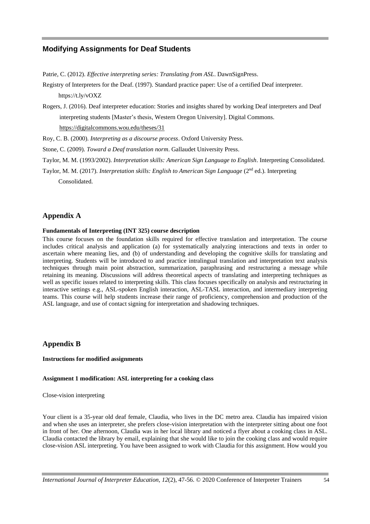Patrie, C. (2012). *Effective interpreting series: Translating from ASL*. DawnSignPress.

Registry of Interpreters for the Deaf. (1997). Standard practice paper: Use of a certified Deaf interpreter. <https://t.ly/vOXZ>

Rogers, J. (2016). Deaf interpreter education: Stories and insights shared by working Deaf interpreters and Deaf interpreting students [Master's thesis, Western Oregon University]. Digital Commons. <https://digitalcommons.wou.edu/theses/31>

Roy, C. B. (2000). *Interpreting as a discourse process*. Oxford University Press.

Stone, C. (2009). *Toward a Deaf translation norm*. Gallaudet University Press.

Taylor, M. M. (1993/2002). *Interpretation skills: American Sign Language to English*. Interpreting Consolidated.

Taylor, M. M. (2017). *Interpretation skills: English to American Sign Language* (2nd ed.). Interpreting Consolidated.

## **Appendix A**

#### **Fundamentals of Interpreting (INT 325) course description**

This course focuses on the foundation skills required for effective translation and interpretation. The course includes critical analysis and application (a) for systematically analyzing interactions and texts in order to ascertain where meaning lies, and (b) of understanding and developing the cognitive skills for translating and interpreting. Students will be introduced to and practice intralingual translation and interpretation text analysis techniques through main point abstraction, summarization, paraphrasing and restructuring a message while retaining its meaning. Discussions will address theoretical aspects of translating and interpreting techniques as well as specific issues related to interpreting skills. This class focuses specifically on analysis and restructuring in interactive settings e.g., ASL-spoken English interaction, ASL-TASL interaction, and intermediary interpreting teams. This course will help students increase their range of proficiency, comprehension and production of the ASL language, and use of contact signing for interpretation and shadowing techniques.

### **Appendix B**

#### **Instructions for modified assignments**

#### **Assignment 1 modification: ASL interpreting for a cooking class**

Close-vision interpreting

Your client is a 35-year old deaf female, Claudia, who lives in the DC metro area. Claudia has impaired vision and when she uses an interpreter, she prefers close-vision interpretation with the interpreter sitting about one foot in front of her. One afternoon, Claudia was in her local library and noticed a flyer about a cooking class in ASL. Claudia contacted the library by email, explaining that she would like to join the cooking class and would require close-vision ASL interpreting. You have been assigned to work with Claudia for this assignment. How would you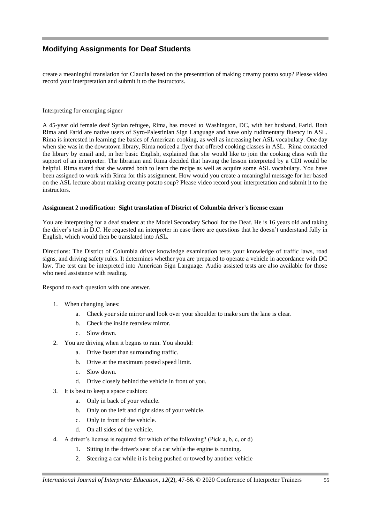create a meaningful translation for Claudia based on the presentation of making creamy potato soup? Please video record your interpretation and submit it to the instructors.

#### Interpreting for emerging signer

A 45-year old female deaf Syrian refugee, Rima, has moved to Washington, DC, with her husband, Farid. Both Rima and Farid are native users of Syro-Palestinian Sign Language and have only rudimentary fluency in ASL. Rima is interested in learning the basics of American cooking, as well as increasing her ASL vocabulary. One day when she was in the downtown library, Rima noticed a flyer that offered cooking classes in ASL. Rima contacted the library by email and, in her basic English, explained that she would like to join the cooking class with the support of an interpreter. The librarian and Rima decided that having the lesson interpreted by a CDI would be helpful. Rima stated that she wanted both to learn the recipe as well as acquire some ASL vocabulary. You have been assigned to work with Rima for this assignment. How would you create a meaningful message for her based on the ASL lecture about making creamy potato soup? Please video record your interpretation and submit it to the instructors.

#### **Assignment 2 modification: Sight translation of District of Columbia driver's license exam**

You are interpreting for a deaf student at the Model Secondary School for the Deaf. He is 16 years old and taking the driver's test in D.C. He requested an interpreter in case there are questions that he doesn't understand fully in English, which would then be translated into ASL.

Directions: The District of Columbia driver knowledge examination tests your knowledge of traffic laws, road signs, and driving safety rules. It determines whether you are prepared to operate a vehicle in accordance with DC law. The test can be interpreted into American Sign Language. Audio assisted tests are also available for those who need assistance with reading.

Respond to each question with one answer.

- 1. When changing lanes:
	- a. Check your side mirror and look over your shoulder to make sure the lane is clear.
	- b. Check the inside rearview mirror.
	- c. Slow down.
- 2. You are driving when it begins to rain. You should:
	- a. Drive faster than surrounding traffic.
	- b. Drive at the maximum posted speed limit.
	- c. Slow down.
	- d. Drive closely behind the vehicle in front of you.
- 3. It is best to keep a space cushion:
	- a. Only in back of your vehicle.
	- b. Only on the left and right sides of your vehicle.
	- c. Only in front of the vehicle.
	- d. On all sides of the vehicle.
- 4. A driver's license is required for which of the following? (Pick a, b, c, or d)
	- 1. Sitting in the driver's seat of a car while the engine is running.
	- 2. Steering a car while it is being pushed or towed by another vehicle